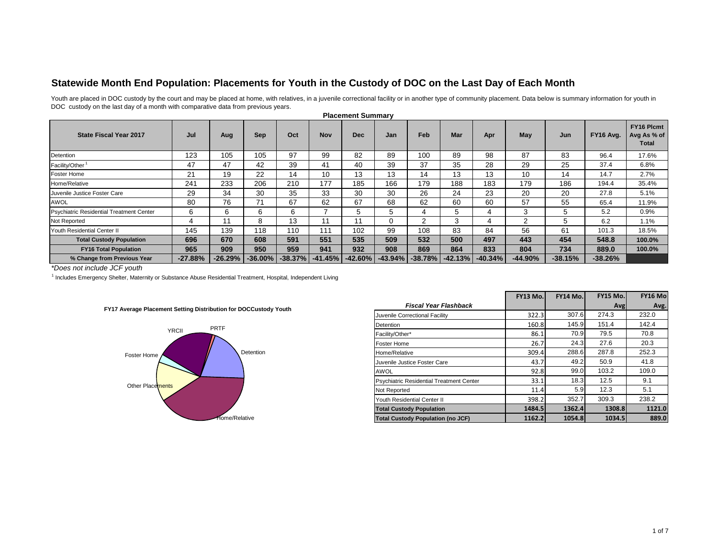## **Statewide Month End Population: Placements for Youth in the Custody of DOC on the Last Day of Each Month**

Youth are placed in DOC custody by the court and may be placed at home, with relatives, in a juvenile correctional facility or in another type of community placement. Data below is summary information for youth in DOC custody on the last day of a month with comparative data from previous years.

| <b>State Fiscal Year 2017</b>            | Jul       | Aug       | <b>Sep</b> | Oct       | <b>Nov</b> | <b>Dec</b> | Jan       | Feb       | Mar       | Apr       | May       | Jun       | FY16 Avg. | <b>FY16 Plcmt</b><br>Avg As % of<br>Total |
|------------------------------------------|-----------|-----------|------------|-----------|------------|------------|-----------|-----------|-----------|-----------|-----------|-----------|-----------|-------------------------------------------|
| Detention                                | 123       | 105       | 105        | 97        | 99         | 82         | 89        | 100       | 89        | 98        | 87        | 83        | 96.4      | 17.6%                                     |
| Facility/Other <sup>1</sup>              | 47        | 47        | 42         | 39        | 41         | 40         | 39        | 37        | 35        | 28        | 29        | 25        | 37.4      | 6.8%                                      |
| <b>Foster Home</b>                       | 21        | 19        | 22         | 14        | 10         | 13         | 13        | 14        | 13        | 13        | 10        | 14        | 14.7      | 2.7%                                      |
| Home/Relative                            | 241       | 233       | 206        | 210       | 177        | 185        | 166       | 179       | 188       | 183       | 179       | 186       | 194.4     | 35.4%                                     |
| Juvenile Justice Foster Care             | 29        | 34        | 30         | 35        | 33         | 30         | 30        | 26        | 24        | 23        | 20        | 20        | 27.8      | 5.1%                                      |
| AWOL                                     | 80        | 76        | 71         | 67        | 62         | 67         | 68        | 62        | 60        | 60        | 57        | 55        | 65.4      | 11.9%                                     |
| Psychiatric Residential Treatment Center | 6         | 6         | 6          | 6         |            | .h         | 5         |           |           | 4         | 3         | 5         | 5.2       | 0.9%                                      |
| Not Reported                             |           | 11        | 8          | 13        | 11         | 11         | $\Omega$  | 2         | $\sim$    |           | 2         | 5         | 6.2       | 1.1%                                      |
| Youth Residential Center II              | 145       | 139       | 118        | 110       | 111        | 102        | 99        | 108       | 83        | 84        | 56        | 61        | 101.3     | 18.5%                                     |
| <b>Total Custody Population</b>          | 696       | 670       | 608        | 591       | 551        | 535        | 509       | 532       | 500       | 497       | 443       | 454       | 548.8     | 100.0%                                    |
| <b>FY16 Total Population</b>             | 965       | 909       | 950        | 959       | 941        | 932        | 908       | 869       | 864       | 833       | 804       | 734       | 889.0     | 100.0%                                    |
| % Change from Previous Year              | $-27.88%$ | $-26.29%$ | $-36.00\%$ | $-38.37%$ | $-41.45%$  | $-42.60%$  | $-43.94%$ | $-38.78%$ | $-42.13%$ | $-40.34%$ | $-44.90%$ | $-38.15%$ | $-38.26%$ |                                           |

## **Placement Summary**

\*Does not include JCF youth

*\*Does not include JCF youth*<br><sup>1</sup> Includes Emergency Shelter, Maternity or Substance Abuse Residential Treatment, Hospital, Independent Living





|                                                                  |                                          | FY13 Mo. | <b>FY14 Mo.</b> | <b>FY15 Mo.</b> | <b>FY16 Mo</b> |
|------------------------------------------------------------------|------------------------------------------|----------|-----------------|-----------------|----------------|
| FY17 Average Placement Setting Distribution for DOCCustody Youth | <b>Fiscal Year Flashback</b>             |          |                 | Avg             | Avg.           |
|                                                                  | Juvenile Correctional Facility           | 322.3    | 307.6           | 274.3           | 232.0          |
| <b>PRTF</b>                                                      | Detention                                | 160.8    | 145.9           | 151.4           | 142.4          |
| <b>YRCII</b>                                                     | Facility/Other*                          | 86.1     | 70.9            | 79.5            | 70.8           |
|                                                                  | <b>Foster Home</b>                       | 26.7     | 24.3            | 27.6            | 20.3           |
| Detention<br>Foster Home                                         | Home/Relative                            | 309.4    | 288.6           | 287.8           | 252.3          |
|                                                                  | Juvenile Justice Foster Care             | 43.7     | 49.2            | 50.9            | 41.8           |
|                                                                  | <b>AWOL</b>                              | 92.8     | 99.0            | 103.2           | 109.0          |
| Other Placements                                                 | Psychiatric Residential Treatment Center | 33.1     | 18.3            | 12.5            | 9.1            |
|                                                                  | Not Reported                             | 11.4     | 5.9             | 12.3            | 5.1            |
|                                                                  | Youth Residential Center II              | 398.2    | 352.7           | 309.3           | 238.2          |
|                                                                  | <b>Total Custody Population</b>          | 1484.5   | 1362.4          | 1308.8          | 1121.0         |
| fome/Relative                                                    | <b>Total Custody Population (no JCF)</b> | 1162.2   | 1054.8          | 1034.5          | 889.0          |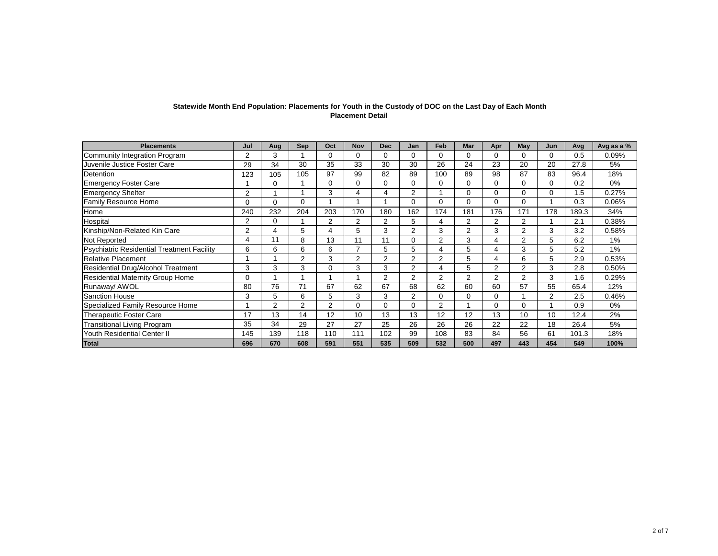| Statewide Month End Population: Placements for Youth in the Custody of DOC on the Last Day of Each Month |
|----------------------------------------------------------------------------------------------------------|
| <b>Placement Detail</b>                                                                                  |

| <b>Placements</b>                                 | Jul            | Aug | <b>Sep</b> | Oct            | <b>Nov</b>     | <b>Dec</b> | Jan            | Feb            | Mar            | Apr      | May            | Jun | Avg   | Avg as a % |
|---------------------------------------------------|----------------|-----|------------|----------------|----------------|------------|----------------|----------------|----------------|----------|----------------|-----|-------|------------|
| Community Integration Program                     | $\overline{2}$ | 3   |            | 0              | $\Omega$       | 0          | $\Omega$       | $\Omega$       | 0              | $\Omega$ | $\Omega$       | 0   | 0.5   | 0.09%      |
| Juvenile Justice Foster Care                      | 29             | 34  | 30         | 35             | 33             | 30         | 30             | 26             | 24             | 23       | 20             | 20  | 27.8  | 5%         |
| Detention                                         | 123            | 105 | 105        | 97             | 99             | 82         | 89             | 100            | 89             | 98       | 87             | 83  | 96.4  | 18%        |
| <b>Emergency Foster Care</b>                      |                | 0   |            | 0              | $\Omega$       | $\Omega$   | $\Omega$       | 0              | 0              | $\Omega$ | $\Omega$       | 0   | 0.2   | 0%         |
| <b>Emergency Shelter</b>                          | $\overline{2}$ |     |            | 3              | 4              | 4          | $\overline{2}$ |                | 0              | 0        | $\Omega$       | 0   | 1.5   | 0.27%      |
| <b>Family Resource Home</b>                       | 0              | 0   | $\Omega$   |                |                |            | $\Omega$       | 0              | 0              | $\Omega$ | $\Omega$       |     | 0.3   | 0.06%      |
| Home                                              | 240            | 232 | 204        | 203            | 170            | 180        | 162            | 174            | 181            | 176      | 171            | 178 | 189.3 | 34%        |
| Hospital                                          | 2              | 0   |            | 2              | 2              | 2          | 5              | 4              | 2              | 2        | $\overline{2}$ |     | 2.1   | 0.38%      |
| Kinship/Non-Related Kin Care                      | $\overline{2}$ | 4   | 5          | 4              | 5              | 3          | $\overline{2}$ | 3              | $\overline{2}$ | 3        | $\overline{2}$ | 3   | 3.2   | 0.58%      |
| Not Reported                                      | 4              | 11  | 8          | 13             | 11             | 11         | $\Omega$       | 2              | 3              | 4        | $\overline{2}$ | 5   | 6.2   | 1%         |
| <b>Psychiatric Residential Treatment Facility</b> | 6              | 6   | 6          | 6              | 7              | 5          | 5              | 4              | 5              |          | 3              | 5   | 5.2   | 1%         |
| <b>Relative Placement</b>                         | ٠              |     | 2          | 3              | $\overline{2}$ | 2          | $\overline{2}$ | $\overline{2}$ | 5              |          | 6              | 5   | 2.9   | 0.53%      |
| Residential Drug/Alcohol Treatment                | 3              | 3   | 3          | 0              | 3              | 3          | $\overline{2}$ | 4              | 5              | 2        | $\overline{2}$ | 3   | 2.8   | 0.50%      |
| <b>Residential Maternity Group Home</b>           | 0              |     |            |                |                | 2          | 2              | $\overline{2}$ | 2              | 2        | $\overline{2}$ | 3   | .6    | 0.29%      |
| Runaway/ AWOL                                     | 80             | 76  | 71         | 67             | 62             | 67         | 68             | 62             | 60             | 60       | 57             | 55  | 65.4  | 12%        |
| <b>Sanction House</b>                             | 3              | 5   | 6          | 5              | 3              | 3          | $\overline{2}$ | 0              | 0              | $\Omega$ |                | 2   | 2.5   | 0.46%      |
| Specialized Family Resource Home                  |                | 2   | 2          | $\overline{2}$ | 0              | 0          | 0              | $\overline{2}$ |                | $\Omega$ | $\Omega$       |     | 0.9   | 0%         |
| <b>Therapeutic Foster Care</b>                    | 17             | 13  | 14         | 12             | 10             | 13         | 13             | 12             | 12             | 13       | 10             | 10  | 12.4  | 2%         |
| <b>Transitional Living Program</b>                | 35             | 34  | 29         | 27             | 27             | 25         | 26             | 26             | 26             | 22       | 22             | 18  | 26.4  | 5%         |
| Youth Residential Center II                       | 145            | 139 | 118        | 110            | 111            | 102        | 99             | 108            | 83             | 84       | 56             | 61  | 101.3 | 18%        |
| <b>Total</b>                                      | 696            | 670 | 608        | 591            | 551            | 535        | 509            | 532            | 500            | 497      | 443            | 454 | 549   | 100%       |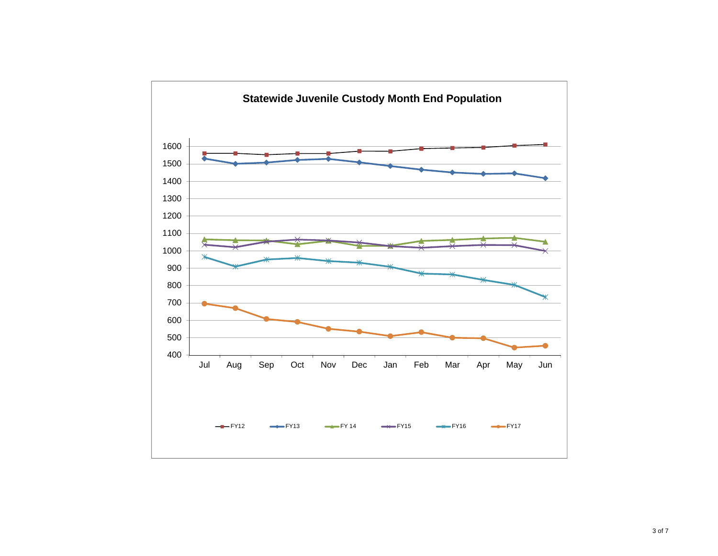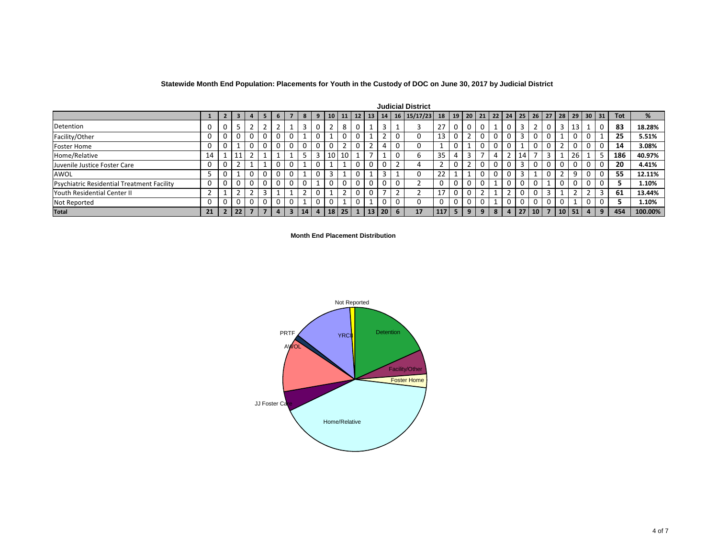| Statewide Month End Population: Placements for Youth in the Custody of DOC on June 30, 2017 by Judicial District |  |  |  |
|------------------------------------------------------------------------------------------------------------------|--|--|--|
|------------------------------------------------------------------------------------------------------------------|--|--|--|

| <b>Judicial District</b>                          |    |                |    |                |                |                |                         |    |                |                |    |          |           |                 |   |             |     |   |   |   |             |                                    |    |    |                 |                 |    |                |            |            |         |
|---------------------------------------------------|----|----------------|----|----------------|----------------|----------------|-------------------------|----|----------------|----------------|----|----------|-----------|-----------------|---|-------------|-----|---|---|---|-------------|------------------------------------|----|----|-----------------|-----------------|----|----------------|------------|------------|---------|
|                                                   |    | $\overline{2}$ | 3  | $\overline{4}$ | 5 <sub>1</sub> | 6              |                         | 8  | 9              | 10   11   12   |    |          | <b>13</b> | 14 <sup>1</sup> |   | 16 15/17/23 | 18  |   |   |   |             | $19$   20   21   22   24   25   26 |    |    | 27 <sup>1</sup> | 28 <sup>1</sup> |    |                | $29$ 30 31 | <b>Tot</b> | %       |
| Detention                                         |    | 0              |    | $\overline{2}$ |                |                |                         | 3  |                | $\overline{2}$ | 8  | $\Omega$ |           | 3               |   |             | 27  | 0 | 0 |   |             |                                    | 3  | 2  | 0               | 3               | 13 |                | C          | 83         | 18.28%  |
| Facility/Other                                    |    |                |    |                |                | $\Omega$       | 0                       |    |                |                | 0  | U        |           | $\overline{2}$  | 0 |             | 13  |   | າ |   | $\mathbf 0$ |                                    | 3  | 0  |                 |                 |    |                |            | 25         | 5.51%   |
| <b>Foster Home</b>                                | 0  |                |    | 0              |                | 0              | 0                       | 0  |                |                |    | 0        | ີ         | 4               | 0 |             |     |   |   |   | 0           |                                    |    | 0  |                 |                 |    | 0              |            | 14         | 3.08%   |
| Home/Relative                                     | 14 |                |    |                |                |                |                         | כ  |                | 10             | 10 |          | ⇁         |                 | 0 |             | 35  |   | 3 |   | 4           |                                    | 14 |    | 3               |                 | 26 |                |            | 186        | 40.97%  |
| Juvenile Justice Foster Care                      |    |                |    |                |                | 0              |                         |    |                |                |    |          | 0         | $\mathbf 0$     |   |             |     |   |   |   | 0           |                                    | 3  |    |                 |                 |    |                | 0          | 20         | 4.41%   |
| AWOL                                              |    |                |    | 0              |                | 0              |                         |    |                |                |    |          |           | 3               |   |             | 22  |   |   |   | 0           |                                    | 3  |    |                 |                 | 9  |                |            | 55         | 12.11%  |
| <b>Psychiatric Residential Treatment Facility</b> |    |                |    |                |                | 0              | 0                       | 0  |                |                |    |          | 0         | $\mathbf 0$     | 0 |             |     |   |   |   |             |                                    | 0  |    |                 | 0               |    | 0              |            |            | 1.10%   |
| <b>Youth Residential Center II</b>                |    |                |    |                |                |                |                         | ຳ  |                |                |    |          |           |                 |   |             | 17  |   |   |   |             |                                    | 0  |    | 3               |                 |    |                |            | 61         | 13.44%  |
| Not Reported                                      |    |                |    |                |                | 0              |                         |    |                |                |    |          |           | 0               | 0 |             |     |   |   |   |             |                                    | 0  |    |                 |                 |    |                |            |            | 1.10%   |
| <b>Total</b>                                      | 21 | $\overline{2}$ | 22 | 7              |                | $\overline{a}$ | $\overline{\mathbf{3}}$ | 14 | 4 <sup>1</sup> | 18             | 25 |          | 13        | 20 <sub>1</sub> | 6 | 17          | 117 | 5 | 9 | 9 | 8           | 4                                  | 27 | 10 | $\overline{7}$  | 10              | 51 | $\overline{a}$ | 9          | 454        | 100.00% |

**Month End Placement Distribution** 

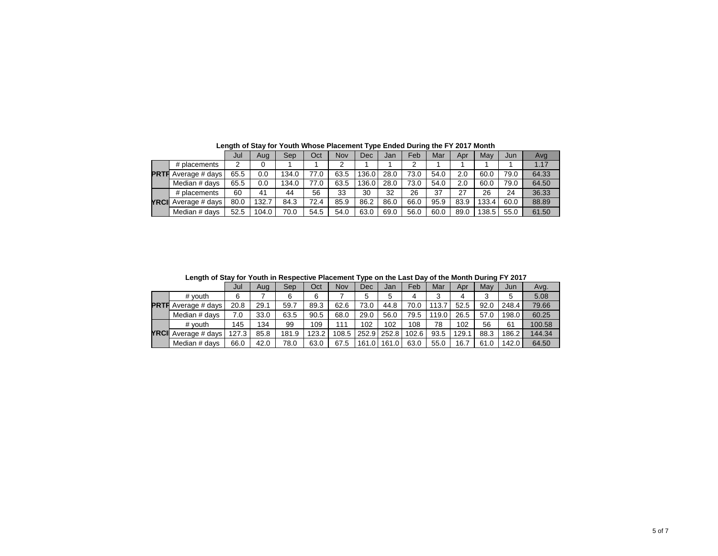|             |                | Jul  | Aug   | Sep   | Oct  | Nov  | Dec   | Jan  | Feb  | Mar  | Apr  | May   | Jun  | Avg   |
|-------------|----------------|------|-------|-------|------|------|-------|------|------|------|------|-------|------|-------|
|             | # placements   | 2    |       |       |      | ◠    |       |      | ົ    |      |      |       |      | 1.17  |
| <b>PRTF</b> | Average # days | 65.5 | 0.0   | 134.0 | 77.0 | 63.5 | 136.0 | 28.0 | 73.0 | 54.0 | 2.0  | 60.0  | 79.0 | 64.33 |
|             | Median # davs  | 65.5 | 0.0   | 134.0 | 77.0 | 63.5 | 136.0 | 28.0 | 73.0 | 54.0 | 2.0  | 60.0  | 79.0 | 64.50 |
|             | # placements   | 60   | 41    | 44    | 56   | 33   | 30    | 32   | 26   | 37   | 27   | 26    | 24   | 36.33 |
| YRCI        | Average # days | 80.0 | 132.7 | 84.3  | 72.4 | 85.9 | 86.2  | 86.0 | 66.0 | 95.9 | 83.9 | 133.4 | 60.0 | 88.89 |
|             | Median # davs  | 52.5 | 104.0 | 70.0  | 54.5 | 54.0 | 63.0  | 69.0 | 56.0 | 60.0 | 89.0 | 138.5 | 55.0 | 61.50 |

**Length of Stay for Youth Whose Placement Type Ended During the FY 2017 Month**

**Length of Stay for Youth in Respective Placement Type on the Last Day of the Month During FY 2017**

|             |                | Jul   | Aua  | Sep   | Oct   | Nov   | Dec   | Jan   | Feb   | Mar   | Apr  | May  | Jun   | Avg.   |
|-------------|----------------|-------|------|-------|-------|-------|-------|-------|-------|-------|------|------|-------|--------|
|             | # vouth        | 6     |      |       | 6     |       |       | 5     |       | 3     |      |      | 5     | 5.08   |
| <b>PRTF</b> | Average # days | 20.8  | 29.1 | 59.7  | 89.3  | 62.6  | 73.0  | 44.8  | 70.0  | 113.7 | 52.5 | 92.0 | 248.4 | 79.66  |
|             | Median # davs  | 7.0   | 33.0 | 63.5  | 90.5  | 68.0  | 29.0  | 56.0  | 79.5  | 119.0 | 26.5 | 57.0 | 198.0 | 60.25  |
|             | # vouth        | 145   | 134  | 99    | 109   | 111   | 102   | 102   | 108   | 78    | 102  | 56   | 61    | 100.58 |
| YRCII       | Average # days | 127.3 | 85.8 | 181.9 | 123.2 | 108.5 | 252.9 | 252.8 | 102.6 | 93.5  | 129. | 88.3 | 186.2 | 144.34 |
|             | Median # davs  | 66.0  | 42.0 | 78.0  | 63.0  | 67.5  | 161.0 | 161.0 | 63.0  | 55.0  | 16.7 | 61.0 | 142.0 | 64.50  |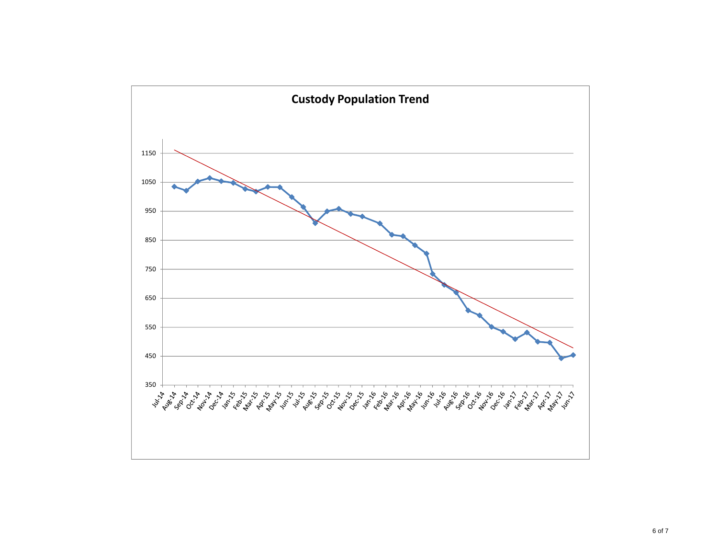